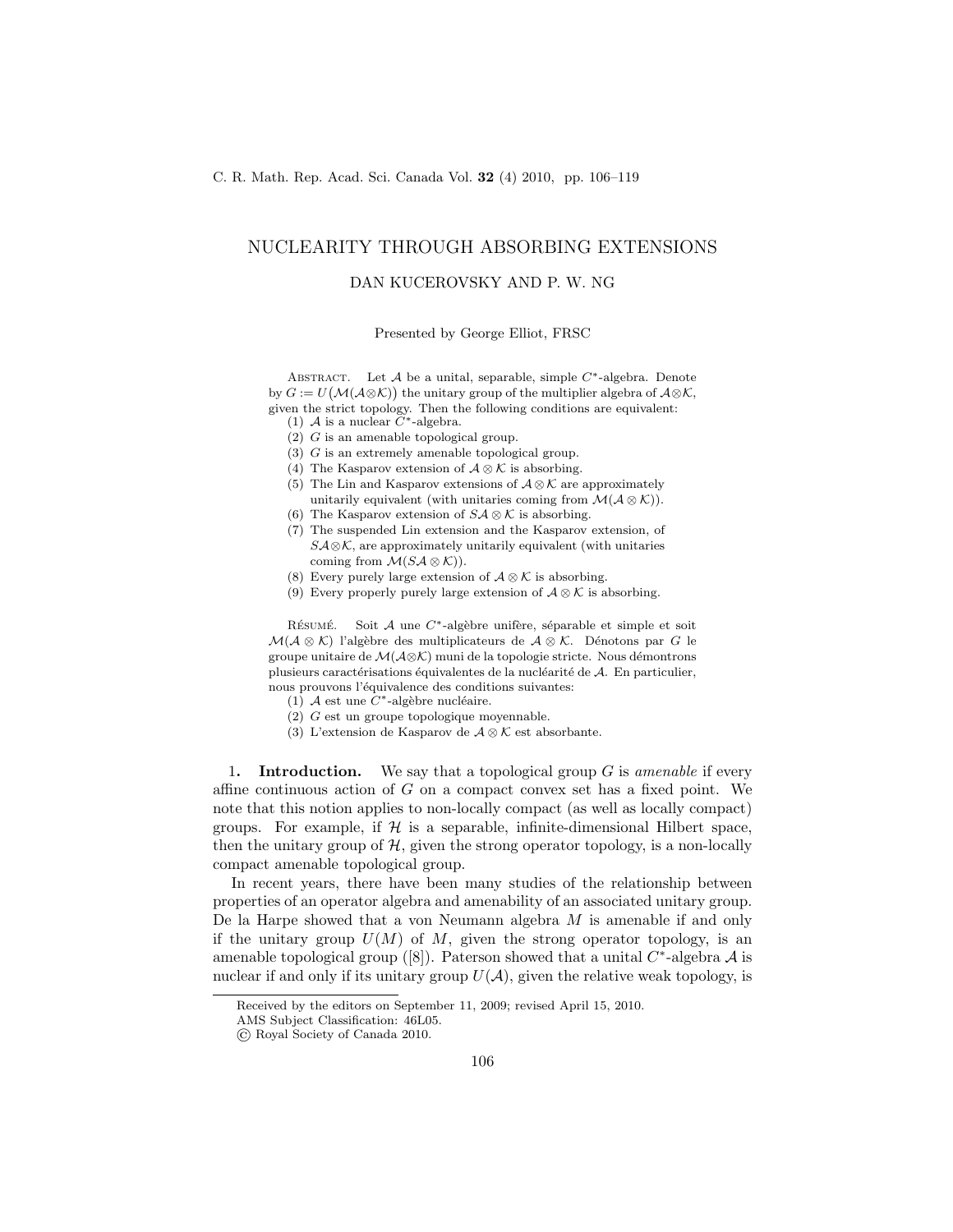## NUCLEARITY THROUGH ABSORBING EXTENSIONS

## DAN KUCEROVSKY AND P. W. NG

Presented by George Elliot, FRSC

ABSTRACT. Let  $A$  be a unital, separable, simple  $C^*$ -algebra. Denote by  $G := U(\mathcal{M}(\mathcal{A}\otimes\mathcal{K}))$  the unitary group of the multiplier algebra of  $\mathcal{A}\otimes\mathcal{K}$ , given the strict topology. Then the following conditions are equivalent:<br>(1)  $\mathcal A$  is a nuclear  $C^*$ -algebra.

- 
- $(2)$  G is an amenable topological group.
- $(3)$  G is an extremely amenable topological group.
- (4) The Kasparov extension of  $\mathcal{A} \otimes \mathcal{K}$  is absorbing.
- (5) The Lin and Kasparov extensions of  $\mathcal{A} \otimes \mathcal{K}$  are approximately unitarily equivalent (with unitaries coming from  $\mathcal{M}(\mathcal{A}\otimes\mathcal{K})$ ).
- (6) The Kasparov extension of  $S\mathcal{A} \otimes \mathcal{K}$  is absorbing.
- (7) The suspended Lin extension and the Kasparov extension, of  $S\mathcal{A}\otimes\mathcal{K}$ , are approximately unitarily equivalent (with unitaries coming from  $\mathcal{M}(S\mathcal{A}\otimes\mathcal{K})$ .
- (8) Every purely large extension of  $\mathcal{A} \otimes \mathcal{K}$  is absorbing.
- (9) Every properly purely large extension of  $\mathcal{A} \otimes \mathcal{K}$  is absorbing.

RÉSUMÉ. Soit  $A$  une  $C^*$ -algèbre unifère, séparable et simple et soit  $\mathcal{M}(\mathcal{A}\otimes\mathcal{K})$  l'algèbre des multiplicateurs de  $\mathcal{A}\otimes\mathcal{K}$ . Dénotons par G le groupe unitaire de  $\mathcal{M}(\mathcal{A}\otimes\mathcal{K})$  muni de la topologie stricte. Nous démontrons plusieurs caractérisations équivalentes de la nucléarité de  $A$ . En particulier, nous prouvons l'équivalence des conditions suivantes:

- (1) A est une  $\overline{C^*}$ -algèbre nucléaire.
- (2) G est un groupe topologique moyennable.
- (3) L'extension de Kasparov de  $\mathcal{A} \otimes \mathcal{K}$  est absorbante.

1. Introduction. We say that a topological group G is *amenable* if every affine continuous action of  $G$  on a compact convex set has a fixed point. We note that this notion applies to non-locally compact (as well as locally compact) groups. For example, if  $H$  is a separable, infinite-dimensional Hilbert space, then the unitary group of  $H$ , given the strong operator topology, is a non-locally compact amenable topological group.

In recent years, there have been many studies of the relationship between properties of an operator algebra and amenability of an associated unitary group. De la Harpe showed that a von Neumann algebra  $M$  is amenable if and only if the unitary group  $U(M)$  of M, given the strong operator topology, is an amenable topological group ([8]). Paterson showed that a unital  $C^*$ -algebra  $\mathcal A$  is nuclear if and only if its unitary group  $U(\mathcal{A})$ , given the relative weak topology, is

Received by the editors on September 11, 2009; revised April 15, 2010.

AMS Subject Classification: 46L05.

<sup>©</sup> Royal Society of Canada 2010.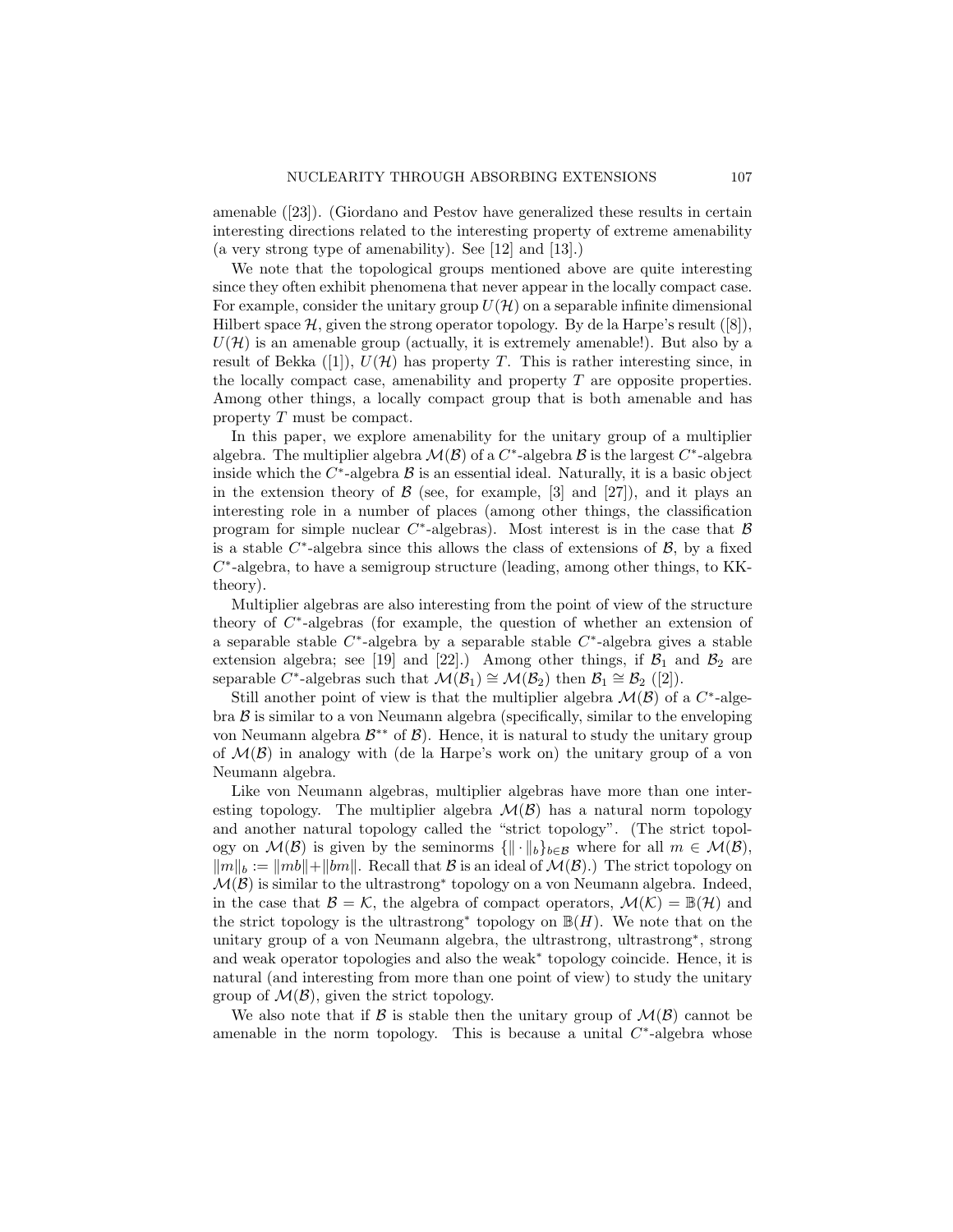amenable ([23]). (Giordano and Pestov have generalized these results in certain interesting directions related to the interesting property of extreme amenability (a very strong type of amenability). See [12] and [13].)

We note that the topological groups mentioned above are quite interesting since they often exhibit phenomena that never appear in the locally compact case. For example, consider the unitary group  $U(\mathcal{H})$  on a separable infinite dimensional Hilbert space  $\mathcal{H}$ , given the strong operator topology. By de la Harpe's result ([8]),  $U(\mathcal{H})$  is an amenable group (actually, it is extremely amenable!). But also by a result of Bekka  $([1]), U(\mathcal{H})$  has property T. This is rather interesting since, in the locally compact case, amenability and property  $T$  are opposite properties. Among other things, a locally compact group that is both amenable and has property T must be compact.

In this paper, we explore amenability for the unitary group of a multiplier algebra. The multiplier algebra  $\mathcal{M}(\mathcal{B})$  of a  $C^*$ -algebra  $\mathcal B$  is the largest  $C^*$ -algebra inside which the  $C^*$ -algebra  $\beta$  is an essential ideal. Naturally, it is a basic object in the extension theory of  $\beta$  (see, for example, [3] and [27]), and it plays an interesting role in a number of places (among other things, the classification program for simple nuclear  $C^*$ -algebras). Most interest is in the case that  $\beta$ is a stable  $C^*$ -algebra since this allows the class of extensions of  $\mathcal{B}$ , by a fixed C<sup>\*</sup>-algebra, to have a semigroup structure (leading, among other things, to KKtheory).

Multiplier algebras are also interesting from the point of view of the structure theory of  $C^*$ -algebras (for example, the question of whether an extension of a separable stable  $C^*$ -algebra by a separable stable  $C^*$ -algebra gives a stable extension algebra; see [19] and [22].) Among other things, if  $\mathcal{B}_1$  and  $\mathcal{B}_2$  are separable C<sup>\*</sup>-algebras such that  $\mathcal{M}(\mathcal{B}_1) \cong \mathcal{M}(\mathcal{B}_2)$  then  $\mathcal{B}_1 \cong \mathcal{B}_2$  ([2]).

Still another point of view is that the multiplier algebra  $\mathcal{M}(\mathcal{B})$  of a  $C^*$ -algebra  $\beta$  is similar to a von Neumann algebra (specifically, similar to the enveloping von Neumann algebra  $\mathcal{B}^{**}$  of  $\mathcal{B}$ ). Hence, it is natural to study the unitary group of  $\mathcal{M}(\mathcal{B})$  in analogy with (de la Harpe's work on) the unitary group of a von Neumann algebra.

Like von Neumann algebras, multiplier algebras have more than one interesting topology. The multiplier algebra  $\mathcal{M}(\mathcal{B})$  has a natural norm topology and another natural topology called the "strict topology". (The strict topology on  $\mathcal{M}(\mathcal{B})$  is given by the seminorms  $\{||\cdot||_b\}_{b\in\mathcal{B}}$  where for all  $m \in \mathcal{M}(\mathcal{B})$ ,  $\|m\|_b := \|mb\| + \|bm\|$ . Recall that  $\mathcal B$  is an ideal of  $\mathcal M(\mathcal B)$ .) The strict topology on  $\mathcal{M}(\mathcal{B})$  is similar to the ultrastrong<sup>\*</sup> topology on a von Neumann algebra. Indeed, in the case that  $\mathcal{B} = \mathcal{K}$ , the algebra of compact operators,  $\mathcal{M}(\mathcal{K}) = \mathbb{B}(\mathcal{H})$  and the strict topology is the ultrastrong<sup>\*</sup> topology on  $\mathbb{B}(H)$ . We note that on the unitary group of a von Neumann algebra, the ultrastrong, ultrastrong<sup>∗</sup> , strong and weak operator topologies and also the weak<sup>∗</sup> topology coincide. Hence, it is natural (and interesting from more than one point of view) to study the unitary group of  $\mathcal{M}(\mathcal{B})$ , given the strict topology.

We also note that if B is stable then the unitary group of  $\mathcal{M}(\mathcal{B})$  cannot be amenable in the norm topology. This is because a unital  $C^*$ -algebra whose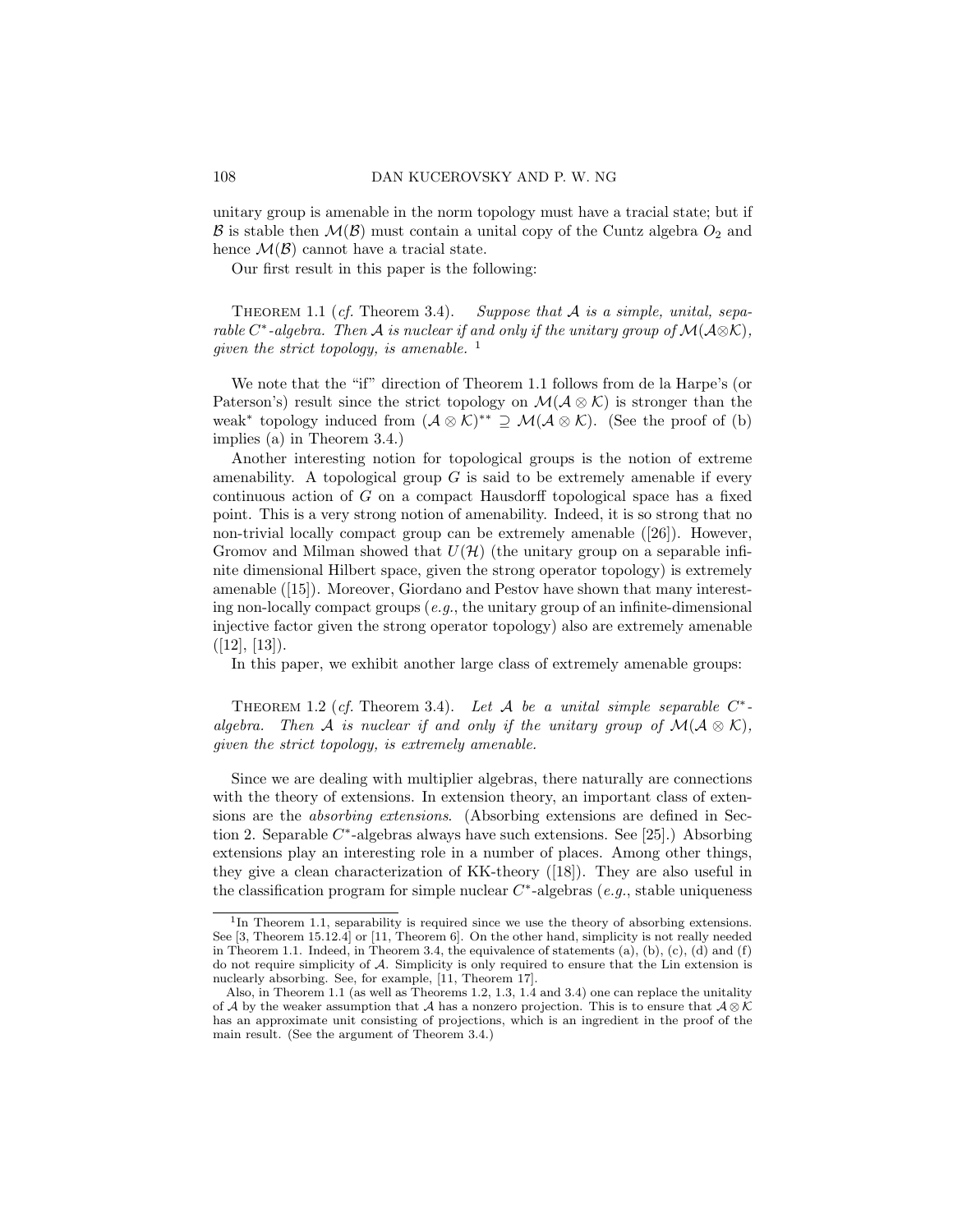unitary group is amenable in the norm topology must have a tracial state; but if  $\mathcal B$  is stable then  $\mathcal M(\mathcal B)$  must contain a unital copy of the Cuntz algebra  $O_2$  and hence  $\mathcal{M}(\mathcal{B})$  cannot have a tracial state.

Our first result in this paper is the following:

Theorem 1.1 (*cf.* Theorem 3.4). *Suppose that* A *is a simple, unital, separable*  $C^*$ -algebra. Then  $\mathcal A$  *is nuclear if and only if the unitary group of*  $\mathcal M(\mathcal A\otimes\mathcal K)$ *, given the strict topology, is amenable.*<sup>1</sup>

We note that the "if" direction of Theorem 1.1 follows from de la Harpe's (or Paterson's) result since the strict topology on  $\mathcal{M}(\mathcal{A}\otimes\mathcal{K})$  is stronger than the weak<sup>∗</sup> topology induced from  $(A \otimes \mathcal{K})^{**} \supseteq \mathcal{M}(\mathcal{A} \otimes \mathcal{K})$ . (See the proof of (b) implies (a) in Theorem 3.4.)

Another interesting notion for topological groups is the notion of extreme amenability. A topological group  $G$  is said to be extremely amenable if every continuous action of G on a compact Hausdorff topological space has a fixed point. This is a very strong notion of amenability. Indeed, it is so strong that no non-trivial locally compact group can be extremely amenable ([26]). However, Gromov and Milman showed that  $U(\mathcal{H})$  (the unitary group on a separable infinite dimensional Hilbert space, given the strong operator topology) is extremely amenable ([15]). Moreover, Giordano and Pestov have shown that many interesting non-locally compact groups (*e.g.*, the unitary group of an infinite-dimensional injective factor given the strong operator topology) also are extremely amenable  $([12], [13]).$ 

In this paper, we exhibit another large class of extremely amenable groups:

THEOREM 1.2 (*cf.* Theorem 3.4). Let  $A$  be a unital simple separable  $C^*$ *algebra.* Then A *is nuclear if and only if the unitary group of*  $\mathcal{M}(\mathcal{A}\otimes\mathcal{K})$ *, given the strict topology, is extremely amenable.*

Since we are dealing with multiplier algebras, there naturally are connections with the theory of extensions. In extension theory, an important class of extensions are the *absorbing extensions*. (Absorbing extensions are defined in Section 2. Separable  $C^*$ -algebras always have such extensions. See [25].) Absorbing extensions play an interesting role in a number of places. Among other things, they give a clean characterization of KK-theory ([18]). They are also useful in the classification program for simple nuclear  $C^*$ -algebras (*e.g.*, stable uniqueness

<sup>&</sup>lt;sup>1</sup>In Theorem 1.1, separability is required since we use the theory of absorbing extensions. See [3, Theorem 15.12.4] or [11, Theorem 6]. On the other hand, simplicity is not really needed in Theorem 1.1. Indeed, in Theorem 3.4, the equivalence of statements  $(a)$ ,  $(b)$ ,  $(c)$ ,  $(d)$  and  $(f)$ do not require simplicity of A. Simplicity is only required to ensure that the Lin extension is nuclearly absorbing. See, for example, [11, Theorem 17].

Also, in Theorem 1.1 (as well as Theorems 1.2, 1.3, 1.4 and 3.4) one can replace the unitality of A by the weaker assumption that A has a nonzero projection. This is to ensure that  $A \otimes \mathcal{K}$ has an approximate unit consisting of projections, which is an ingredient in the proof of the main result. (See the argument of Theorem 3.4.)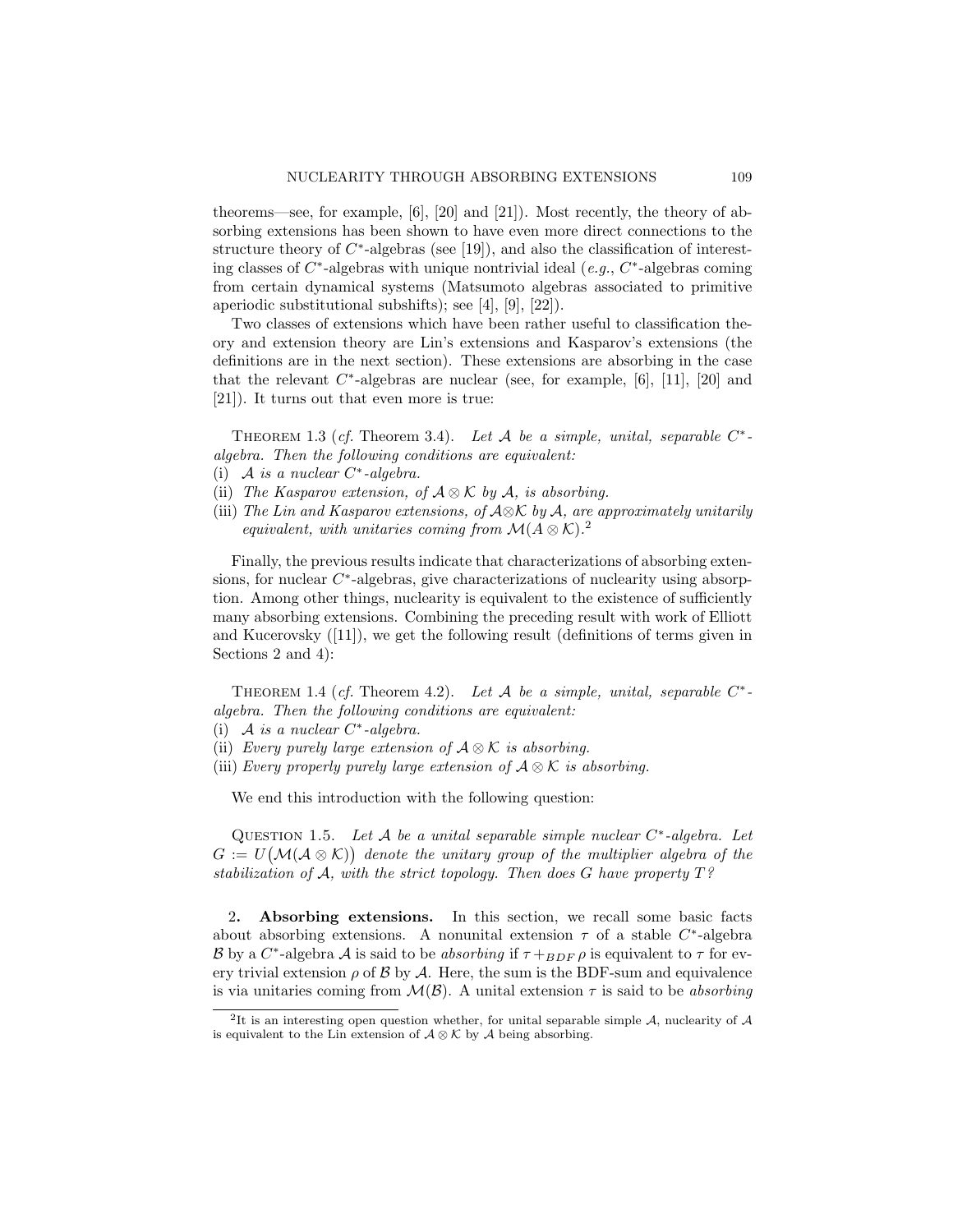theorems—see, for example, [6], [20] and [21]). Most recently, the theory of absorbing extensions has been shown to have even more direct connections to the structure theory of  $C^*$ -algebras (see [19]), and also the classification of interesting classes of C ∗ -algebras with unique nontrivial ideal (*e.g.*, C ∗ -algebras coming from certain dynamical systems (Matsumoto algebras associated to primitive aperiodic substitutional subshifts); see [4], [9], [22]).

Two classes of extensions which have been rather useful to classification theory and extension theory are Lin's extensions and Kasparov's extensions (the definitions are in the next section). These extensions are absorbing in the case that the relevant  $C^*$ -algebras are nuclear (see, for example, [6], [11], [20] and [21]). It turns out that even more is true:

THEOREM 1.3 (*cf.* Theorem 3.4). Let  $A$  be a simple, unital, separable  $C^*$ *algebra. Then the following conditions are equivalent:*

- (i) A *is a nuclear* C ∗ *-algebra.*
- (ii) *The Kasparov extension, of* A ⊗ K *by* A*, is absorbing.*
- (iii) *The Lin and Kasparov extensions, of* A⊗K *by* A*, are approximately unitarily equivalent, with unitaries coming from*  $\mathcal{M}(A \otimes \mathcal{K})$ .<sup>2</sup>

Finally, the previous results indicate that characterizations of absorbing extensions, for nuclear  $C^*$ -algebras, give characterizations of nuclearity using absorption. Among other things, nuclearity is equivalent to the existence of sufficiently many absorbing extensions. Combining the preceding result with work of Elliott and Kucerovsky  $([11])$ , we get the following result (definitions of terms given in Sections 2 and 4):

THEOREM 1.4 (*cf.* Theorem 4.2). Let  $A$  be a simple, unital, separable  $C^*$ *algebra. Then the following conditions are equivalent:*

- (i) A *is a nuclear* C ∗ *-algebra.*
- (ii) *Every purely large extension of* A ⊗ K *is absorbing.*
- (iii) *Every properly purely large extension of*  $A \otimes K$  *is absorbing.*

We end this introduction with the following question:

QUESTION 1.5. Let A be a unital separable simple nuclear  $C^*$ -algebra. Let  $G := U(\mathcal{M}(\mathcal{A} \otimes \mathcal{K}))$  denote the unitary group of the multiplier algebra of the *stabilization of* A*, with the strict topology. Then does* G *have property* T*?*

2. Absorbing extensions. In this section, we recall some basic facts about absorbing extensions. A nonunital extension  $\tau$  of a stable  $C^*$ -algebra B by a  $C^*$ -algebra A is said to be *absorbing* if  $\tau +_{BDF} \rho$  is equivalent to  $\tau$  for every trivial extension  $\rho$  of B by A. Here, the sum is the BDF-sum and equivalence is via unitaries coming from  $\mathcal{M}(\mathcal{B})$ . A unital extension  $\tau$  is said to be *absorbing* 

<sup>&</sup>lt;sup>2</sup>It is an interesting open question whether, for unital separable simple  $A$ , nuclearity of  $A$ is equivalent to the Lin extension of  $\mathcal{A} \otimes \mathcal{K}$  by  $\mathcal{A}$  being absorbing.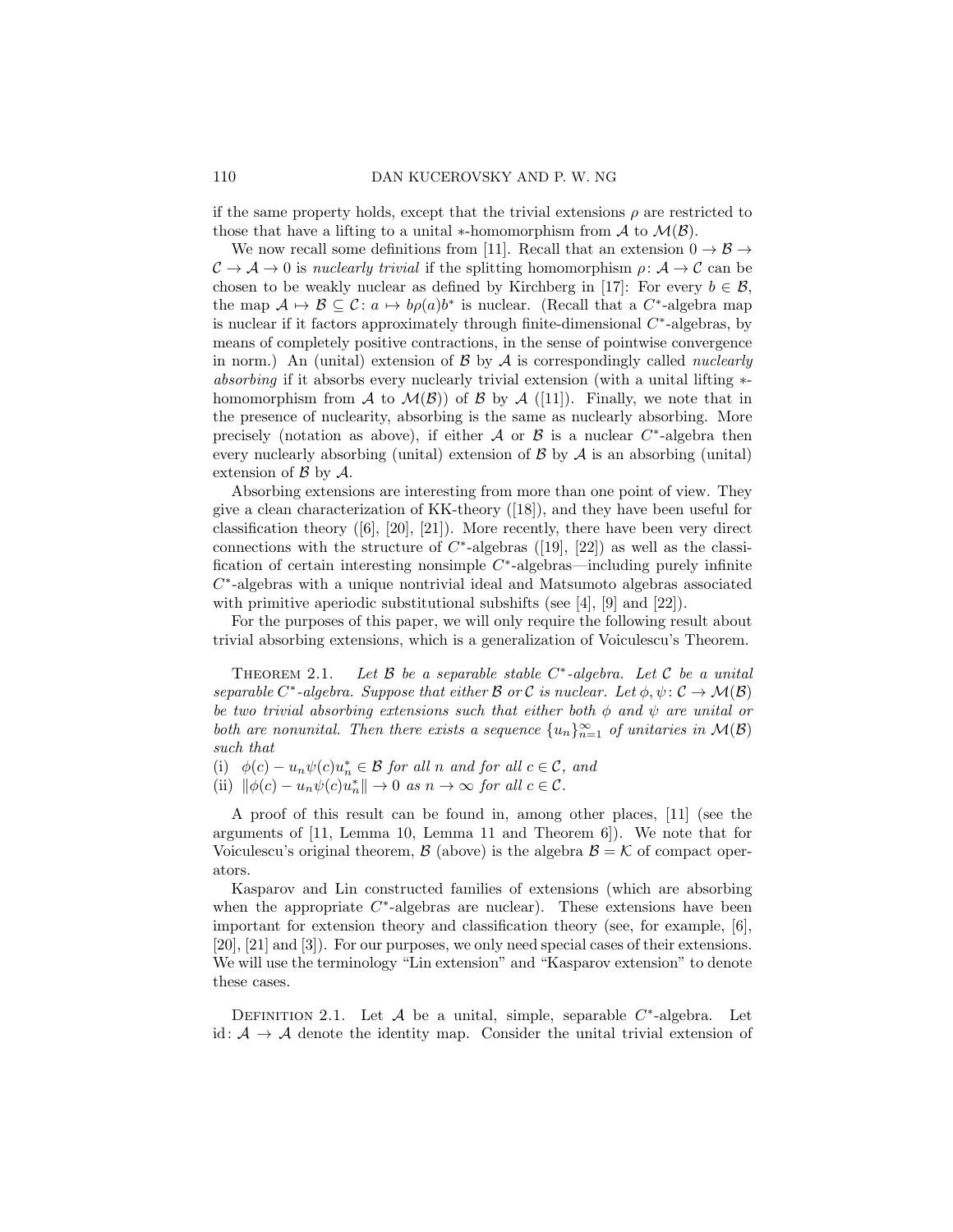if the same property holds, except that the trivial extensions  $\rho$  are restricted to those that have a lifting to a unital  $*$ -homomorphism from A to  $\mathcal{M}(\mathcal{B})$ .

We now recall some definitions from [11]. Recall that an extension  $0 \to \mathcal{B} \to$  $\mathcal{C} \to \mathcal{A} \to 0$  is *nuclearly trivial* if the splitting homomorphism  $\rho: \mathcal{A} \to \mathcal{C}$  can be chosen to be weakly nuclear as defined by Kirchberg in [17]: For every  $b \in \mathcal{B}$ , the map  $A \mapsto B \subseteq C : a \mapsto b\rho(a)b^*$  is nuclear. (Recall that a  $C^*$ -algebra map is nuclear if it factors approximately through finite-dimensional  $C^*$ -algebras, by means of completely positive contractions, in the sense of pointwise convergence in norm.) An (unital) extension of B by A is correspondingly called *nuclearly absorbing* if it absorbs every nuclearly trivial extension (with a unital lifting  $*$ homomorphism from A to  $\mathcal{M}(\mathcal{B})$  of B by A ([11]). Finally, we note that in the presence of nuclearity, absorbing is the same as nuclearly absorbing. More precisely (notation as above), if either  $A$  or  $B$  is a nuclear  $C^*$ -algebra then every nuclearly absorbing (unital) extension of  $\beta$  by  $\mathcal A$  is an absorbing (unital) extension of  $\beta$  by  $\mathcal{A}$ .

Absorbing extensions are interesting from more than one point of view. They give a clean characterization of KK-theory ([18]), and they have been useful for classification theory ([6], [20], [21]). More recently, there have been very direct connections with the structure of  $C^*$ -algebras ([19], [22]) as well as the classification of certain interesting nonsimple  $C^*$ -algebras—including purely infinite C ∗ -algebras with a unique nontrivial ideal and Matsumoto algebras associated with primitive aperiodic substitutional subshifts (see  $[4]$ ,  $[9]$  and  $[22]$ ).

For the purposes of this paper, we will only require the following result about trivial absorbing extensions, which is a generalization of Voiculescu's Theorem.

Theorem 2.1. *Let* B *be a separable stable* C ∗ *-algebra. Let* C *be a unital separable*  $C^*$ -algebra. Suppose that either  $\mathcal B$  or  $\mathcal C$  *is nuclear.* Let  $\phi, \psi \colon \mathcal C \to \mathcal M(\mathcal B)$ *be two trivial absorbing extensions such that either both* φ *and* ψ *are unital or both are nonunital. Then there exists a sequence*  ${u_n}_{n=1}^{\infty}$  *of unitaries in*  $\mathcal{M}(\mathcal{B})$ *such that*

(i)  $\phi(c) - u_n \psi(c) u_n^* \in \mathcal{B}$  *for all n and for all*  $c \in \mathcal{C}$ *, and* 

(ii)  $\|\phi(c) - u_n\psi(c)u_n^*\| \to 0$  *as*  $n \to \infty$  *for all*  $c \in \mathcal{C}$ *.* 

A proof of this result can be found in, among other places, [11] (see the arguments of [11, Lemma 10, Lemma 11 and Theorem 6]). We note that for Voiculescu's original theorem,  $\mathcal{B}$  (above) is the algebra  $\mathcal{B} = \mathcal{K}$  of compact operators.

Kasparov and Lin constructed families of extensions (which are absorbing when the appropriate  $C^*$ -algebras are nuclear). These extensions have been important for extension theory and classification theory (see, for example, [6], [20], [21] and [3]). For our purposes, we only need special cases of their extensions. We will use the terminology "Lin extension" and "Kasparov extension" to denote these cases.

DEFINITION 2.1. Let  $A$  be a unital, simple, separable  $C^*$ -algebra. Let id:  $A \rightarrow A$  denote the identity map. Consider the unital trivial extension of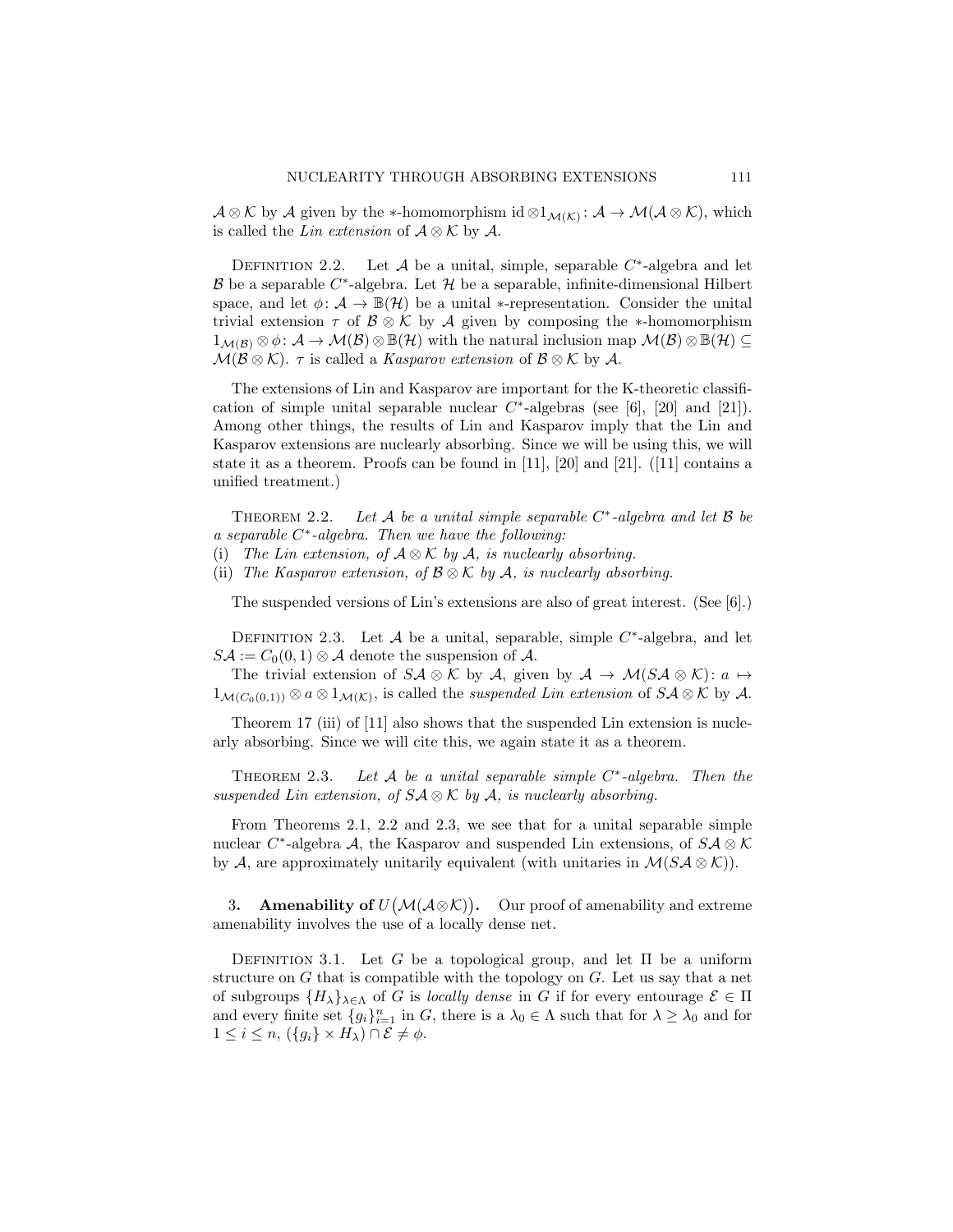$\mathcal{A} \otimes \mathcal{K}$  by  $\mathcal{A}$  given by the \*-homomorphism id  $\otimes 1_{\mathcal{M}(\mathcal{K})} : \mathcal{A} \to \mathcal{M}(\mathcal{A} \otimes \mathcal{K})$ , which is called the *Lin extension* of  $\mathcal{A} \otimes \mathcal{K}$  by  $\mathcal{A}$ .

DEFINITION 2.2. Let  $A$  be a unital, simple, separable  $C^*$ -algebra and let B be a separable  $C^*$ -algebra. Let  $\mathcal H$  be a separable, infinite-dimensional Hilbert space, and let  $\phi: \mathcal{A} \to \mathbb{B}(\mathcal{H})$  be a unital  $*$ -representation. Consider the unital trivial extension  $\tau$  of  $\mathcal{B} \otimes \mathcal{K}$  by  $\mathcal{A}$  given by composing the ∗-homomorphism  $1_{\mathcal{M}(\mathcal{B})}\otimes \phi\colon \mathcal{A}\to \mathcal{M}(\mathcal{B})\otimes \mathbb{B}(\mathcal{H})$  with the natural inclusion map  $\mathcal{M}(\mathcal{B})\otimes \mathbb{B}(\mathcal{H})\subseteq$  $\mathcal{M}(\mathcal{B}\otimes\mathcal{K})$ .  $\tau$  is called a *Kasparov extension* of  $\mathcal{B}\otimes\mathcal{K}$  by  $\mathcal{A}$ .

The extensions of Lin and Kasparov are important for the K-theoretic classification of simple unital separable nuclear  $C^*$ -algebras (see [6], [20] and [21]). Among other things, the results of Lin and Kasparov imply that the Lin and Kasparov extensions are nuclearly absorbing. Since we will be using this, we will state it as a theorem. Proofs can be found in [11], [20] and [21]. ([11] contains a unified treatment.)

THEOREM 2.2. Let  $A$  be a unital simple separable  $C^*$ -algebra and let  $B$  be *a separable* C ∗ *-algebra. Then we have the following:*

- (i) *The Lin extension, of* A ⊗ K *by* A*, is nuclearly absorbing.*
- (ii) *The Kasparov extension, of* B ⊗ K *by* A*, is nuclearly absorbing.*

The suspended versions of Lin's extensions are also of great interest. (See [6].)

DEFINITION 2.3. Let  $A$  be a unital, separable, simple  $C^*$ -algebra, and let  $S\mathcal{A} := C_0(0,1) \otimes \mathcal{A}$  denote the suspension of  $\mathcal{A}$ .

The trivial extension of  $S\mathcal{A} \otimes \mathcal{K}$  by  $\mathcal{A}$ , given by  $\mathcal{A} \to \mathcal{M}(S\mathcal{A} \otimes \mathcal{K})$ :  $a \mapsto$  $1_{\mathcal{M}(C_0(0,1))} \otimes a \otimes 1_{\mathcal{M}(\mathcal{K})}$ , is called the *suspended Lin extension* of  $S\mathcal{A} \otimes \mathcal{K}$  by  $\mathcal{A}$ .

Theorem 17 (iii) of [11] also shows that the suspended Lin extension is nuclearly absorbing. Since we will cite this, we again state it as a theorem.

Theorem 2.3. *Let* A *be a unital separable simple* C ∗ *-algebra. Then the suspended Lin extension, of* SA ⊗ K *by* A*, is nuclearly absorbing.*

From Theorems 2.1, 2.2 and 2.3, we see that for a unital separable simple nuclear  $C^*$ -algebra A, the Kasparov and suspended Lin extensions, of  $S\mathcal{A} \otimes \mathcal{K}$ by A, are approximately unitarily equivalent (with unitaries in  $\mathcal{M}(S\mathcal{A}\otimes\mathcal{K})$ ).

3. Amenability of  $U(\mathcal{M}(\mathcal{A}\otimes\mathcal{K}))$ . Our proof of amenability and extreme amenability involves the use of a locally dense net.

DEFINITION 3.1. Let G be a topological group, and let  $\Pi$  be a uniform structure on  $G$  that is compatible with the topology on  $G$ . Let us say that a net of subgroups  $\{H_{\lambda}\}_{\lambda \in \Lambda}$  of G is *locally dense* in G if for every entourage  $\mathcal{E} \in \Pi$ and every finite set  ${g_i}_{i=1}^n$  in G, there is a  $\lambda_0 \in \Lambda$  such that for  $\lambda \geq \lambda_0$  and for  $1 \leq i \leq n$ ,  $({g_i} \times H_\lambda) \cap \mathcal{E} \neq \phi$ .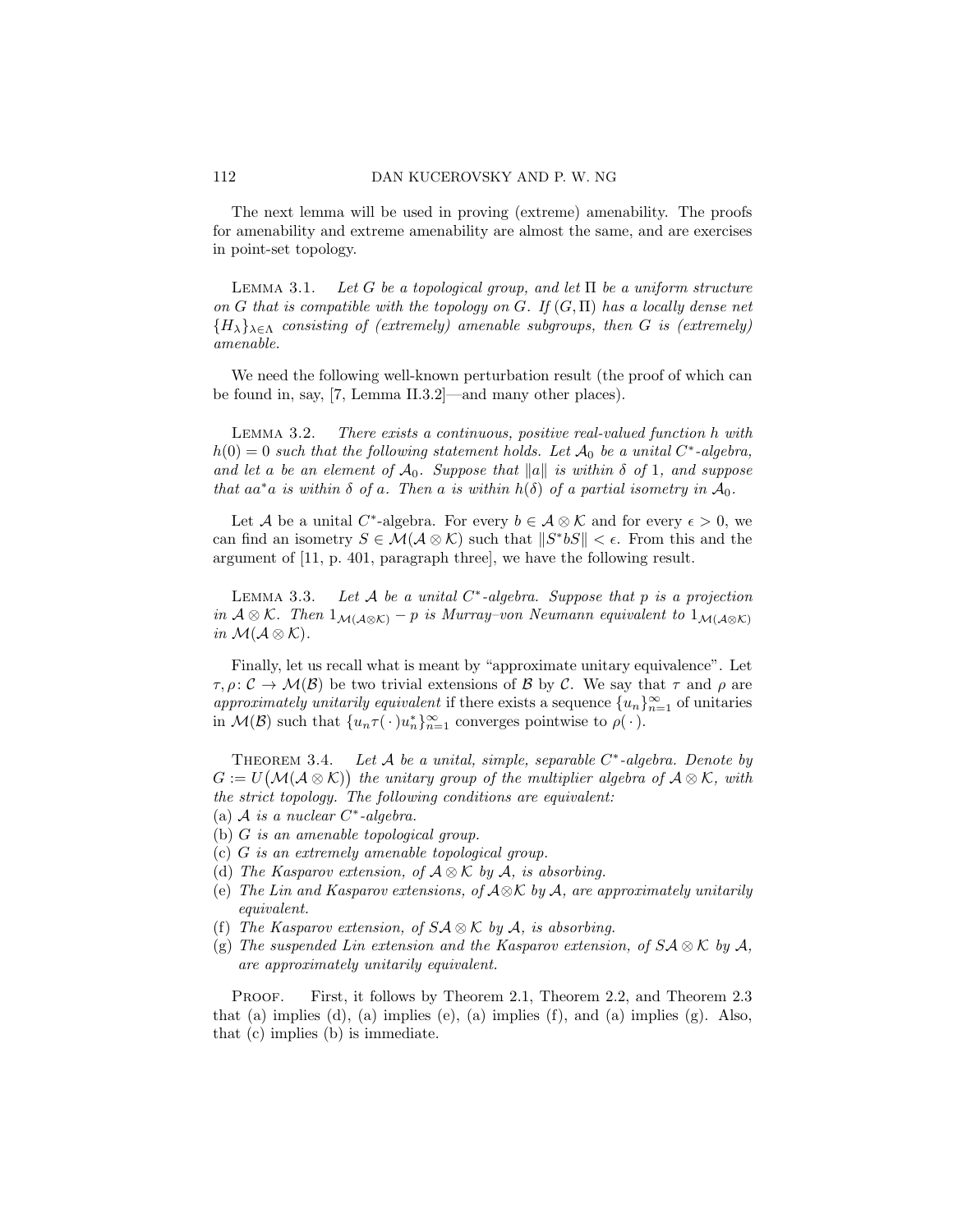The next lemma will be used in proving (extreme) amenability. The proofs for amenability and extreme amenability are almost the same, and are exercises in point-set topology.

Lemma 3.1. *Let* G *be a topological group, and let* Π *be a uniform structure on* G *that is compatible with the topology on* G*. If* (G, Π) *has a locally dense net*  ${H_{\lambda}}_{\lambda \in \Lambda}$  *consisting of (extremely) amenable subgroups, then* G *is (extremely) amenable.*

We need the following well-known perturbation result (the proof of which can be found in, say, [7, Lemma II.3.2]—and many other places).

Lemma 3.2. *There exists a continuous, positive real-valued function* h *with*  $h(0) = 0$  such that the following statement holds. Let  $\mathcal{A}_0$  be a unital  $C^*$ -algebra, *and let a be an element of*  $A_0$ *. Suppose that*  $||a||$  *is within*  $\delta$  *of* 1*, and suppose that*  $aa^*a$  *is within*  $\delta$  *of*  $a$ *. Then*  $a$  *is within*  $h(\delta)$  *of*  $a$  *partial isometry in*  $\mathcal{A}_0$ *.* 

Let A be a unital C<sup>\*</sup>-algebra. For every  $b \in \mathcal{A} \otimes \mathcal{K}$  and for every  $\epsilon > 0$ , we can find an isometry  $S \in \mathcal{M}(\mathcal{A} \otimes \mathcal{K})$  such that  $||S^*bS|| < \epsilon$ . From this and the argument of [11, p. 401, paragraph three], we have the following result.

Lemma 3.3. *Let* A *be a unital* C ∗ *-algebra. Suppose that* p *is a projection in*  $A \otimes K$ *. Then*  $1_{\mathcal{M}(A \otimes K)} - p$  *is Murray–von Neumann equivalent to*  $1_{\mathcal{M}(A \otimes K)}$ *in*  $\mathcal{M}(\mathcal{A}\otimes\mathcal{K})$ *.* 

Finally, let us recall what is meant by "approximate unitary equivalence". Let  $\tau, \rho: \mathcal{C} \to \mathcal{M}(\mathcal{B})$  be two trivial extensions of  $\mathcal{B}$  by  $\mathcal{C}$ . We say that  $\tau$  and  $\rho$  are *approximately unitarily equivalent* if there exists a sequence  ${u_n}_{n=1}^{\infty}$  of unitaries in  $\mathcal{M}(\mathcal{B})$  such that  $\{u_n \tau(\cdot) u_n^*\}_{n=1}^{\infty}$  converges pointwise to  $\rho(\cdot)$ .

Theorem 3.4. *Let* A *be a unital, simple, separable* C ∗ *-algebra. Denote by*  $G := U(\mathcal{M}(\mathcal{A} \otimes \mathcal{K}))$  the unitary group of the multiplier algebra of  $\mathcal{A} \otimes \mathcal{K}$ , with *the strict topology. The following conditions are equivalent:*

- (a) A *is a nuclear* C ∗ *-algebra.*
- (b) G *is an amenable topological group.*
- (c) G *is an extremely amenable topological group.*
- (d) *The Kasparov extension, of* A ⊗ K *by* A*, is absorbing.*
- (e) *The Lin and Kasparov extensions, of* A⊗K *by* A*, are approximately unitarily equivalent.*
- (f) *The Kasparov extension, of* SA ⊗ K *by* A*, is absorbing.*
- (g) *The suspended Lin extension and the Kasparov extension, of*  $S\mathcal{A} \otimes \mathcal{K}$  *by*  $\mathcal{A}$ *, are approximately unitarily equivalent.*

Proof. First, it follows by Theorem 2.1, Theorem 2.2, and Theorem 2.3 that (a) implies (d), (a) implies (e), (a) implies  $(f)$ , and (a) implies  $(g)$ . Also, that (c) implies (b) is immediate.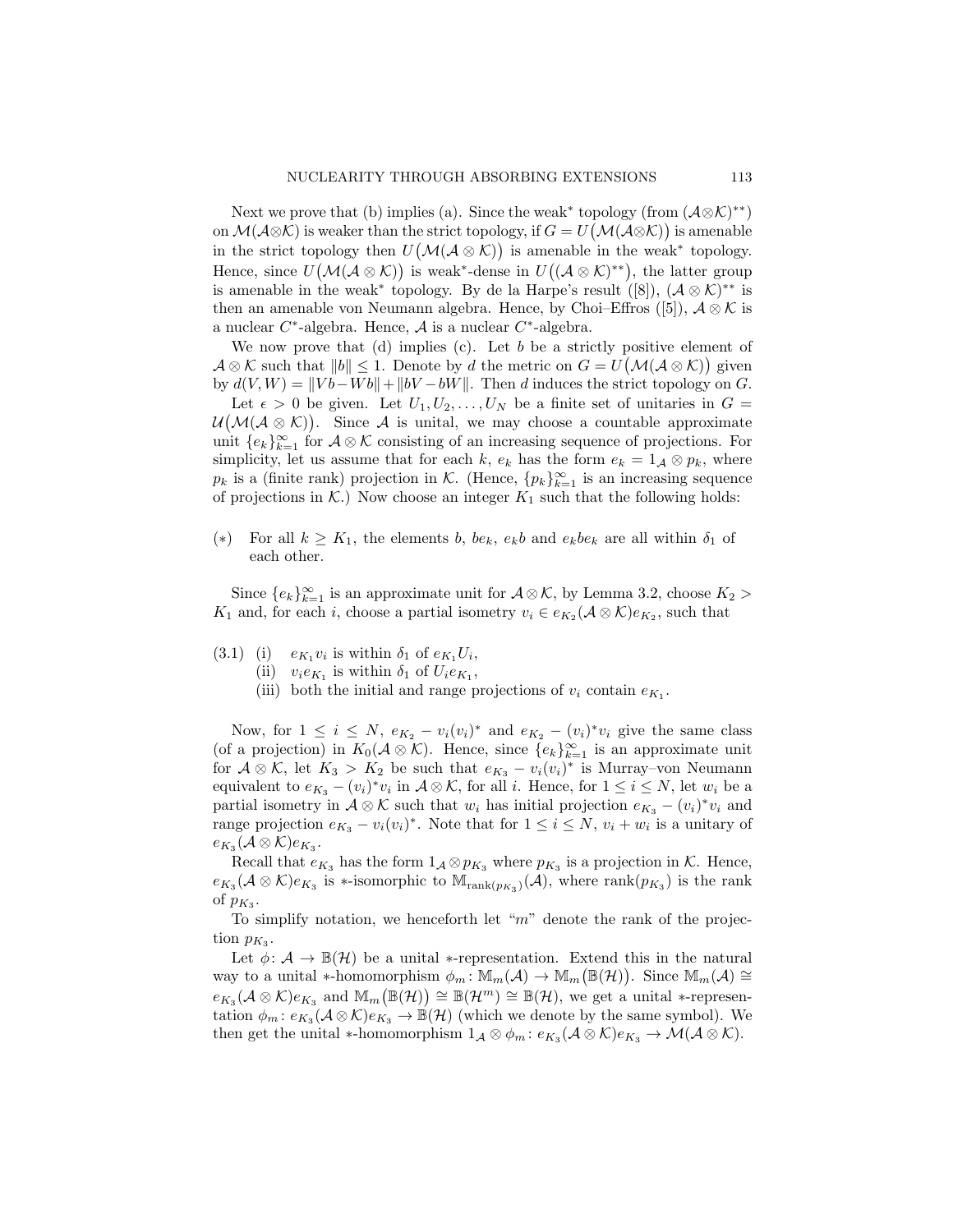Next we prove that (b) implies (a). Since the weak<sup>\*</sup> topology (from  $(\mathcal{A}\otimes\mathcal{K})^{**}$ ) on  $\mathcal{M}(\mathcal{A}\otimes\mathcal{K})$  is weaker than the strict topology, if  $G=U(\mathcal{M}(\mathcal{A}\otimes\mathcal{K}))$  is amenable in the strict topology then  $U(\mathcal{M}(\mathcal{A}\otimes\mathcal{K}))$  is amenable in the weak<sup>\*</sup> topology. Hence, since  $U(\mathcal{M}(\mathcal{A}\otimes\mathcal{K}))$  is weak<sup>\*</sup>-dense in  $U((\mathcal{A}\otimes\mathcal{K})^{**})$ , the latter group is amenable in the weak<sup>\*</sup> topology. By de la Harpe's result ([8]),  $(\mathcal{A} \otimes \mathcal{K})^{**}$  is then an amenable von Neumann algebra. Hence, by Choi–Effros ([5]),  $\mathcal{A} \otimes \mathcal{K}$  is a nuclear  $C^*$ -algebra. Hence,  $\mathcal A$  is a nuclear  $C^*$ -algebra.

We now prove that (d) implies (c). Let b be a strictly positive element of  $\mathcal{A} \otimes \mathcal{K}$  such that  $||b|| \leq 1$ . Denote by d the metric on  $G = U(\mathcal{M}(\mathcal{A} \otimes \mathcal{K}))$  given by  $d(V, W) = ||Vb - Wb|| + ||bV - bW||$ . Then d induces the strict topology on G.

Let  $\epsilon > 0$  be given. Let  $U_1, U_2, \ldots, U_N$  be a finite set of unitaries in  $G =$  $\mathcal{U}(\mathcal{M}(\mathcal{A}\otimes\mathcal{K}))$ . Since A is unital, we may choose a countable approximate unit  ${e_k}_{k=1}^{\infty}$  for  $A \otimes K$  consisting of an increasing sequence of projections. For simplicity, let us assume that for each k,  $e_k$  has the form  $e_k = 1_{\mathcal{A}} \otimes p_k$ , where  $p_k$  is a (finite rank) projection in K. (Hence,  $\{p_k\}_{k=1}^{\infty}$  is an increasing sequence of projections in  $K$ .) Now choose an integer  $K_1$  such that the following holds:

(\*) For all  $k \geq K_1$ , the elements b,  $be_k$ ,  $e_k b$  and  $e_k be_k$  are all within  $\delta_1$  of each other.

Since  ${e_k}_{k=1}^{\infty}$  is an approximate unit for  $\mathcal{A} \otimes \mathcal{K}$ , by Lemma 3.2, choose  $K_2 >$  $K_1$  and, for each i, choose a partial isometry  $v_i \in e_{K_2}(\mathcal{A} \otimes \mathcal{K})e_{K_2}$ , such that

- (3.1) (i)  $e_{K_1}v_i$  is within  $\delta_1$  of  $e_{K_1}U_i$ ,
	- (ii)  $v_i e_{K_1}$  is within  $\delta_1$  of  $U_i e_{K_1}$ ,
	- (iii) both the initial and range projections of  $v_i$  contain  $e_{K_1}$ .

Now, for  $1 \leq i \leq N$ ,  $e_{K_2} - v_i(v_i)^*$  and  $e_{K_2} - (v_i)^* v_i$  give the same class (of a projection) in  $K_0(\mathcal{A}\otimes\mathcal{K})$ . Hence, since  $\{e_k\}_{k=1}^\infty$  is an approximate unit for  $A \otimes K$ , let  $K_3 > K_2$  be such that  $e_{K_3} - v_i(v_i)^*$  is Murray–von Neumann equivalent to  $e_{K_3} - (v_i)^* v_i$  in  $A \otimes K$ , for all i. Hence, for  $1 \le i \le N$ , let  $w_i$  be a partial isometry in  $\mathcal{A} \otimes \mathcal{K}$  such that  $w_i$  has initial projection  $e_{K_3} - (v_i)^* v_i$  and range projection  $e_{K_3} - v_i(v_i)^*$ . Note that for  $1 \le i \le N$ ,  $v_i + w_i$  is a unitary of  $e_{K_3}(\mathcal{A}\otimes\mathcal{K})e_{K_3}.$ 

Recall that  $e_{K_3}$  has the form  $1_A \otimes p_{K_3}$  where  $p_{K_3}$  is a projection in K. Hence,  $e_{K_3}(\mathcal{A}\otimes\mathcal{K})e_{K_3}$  is \*-isomorphic to  $\mathbb{M}_{\mathrm{rank}(p_{K_3})}(\mathcal{A})$ , where  $\mathrm{rank}(p_{K_3})$  is the rank of  $p_{K_3}$ .

To simplify notation, we henceforth let " $m$ " denote the rank of the projection  $p_{K_3}$ .

Let  $\phi: \mathcal{A} \to \mathbb{B}(\mathcal{H})$  be a unital \*-representation. Extend this in the natural way to a unital \*-homomorphism  $\phi_m: \mathbb{M}_m(\mathcal{A}) \to \mathbb{M}_m(\mathbb{B}(\mathcal{H}))$ . Since  $\mathbb{M}_m(\mathcal{A}) \cong$  $e_{K_3}(\mathcal{A}\otimes\mathcal{K})e_{K_3}$  and  $\mathbb{M}_m(\mathbb{B}(\mathcal{H}))\cong\mathbb{B}(\mathcal{H}^m)\cong\mathbb{B}(\mathcal{H}),$  we get a unital \*-representation  $\phi_m: e_{K_3}(A \otimes \mathcal{K})e_{K_3} \to \mathbb{B}(\mathcal{H})$  (which we denote by the same symbol). We then get the unital \*-homomorphism  $1_{\mathcal{A}} \otimes \phi_m : e_{K_3}(\mathcal{A} \otimes \mathcal{K})e_{K_3} \to \mathcal{M}(\mathcal{A} \otimes \mathcal{K}).$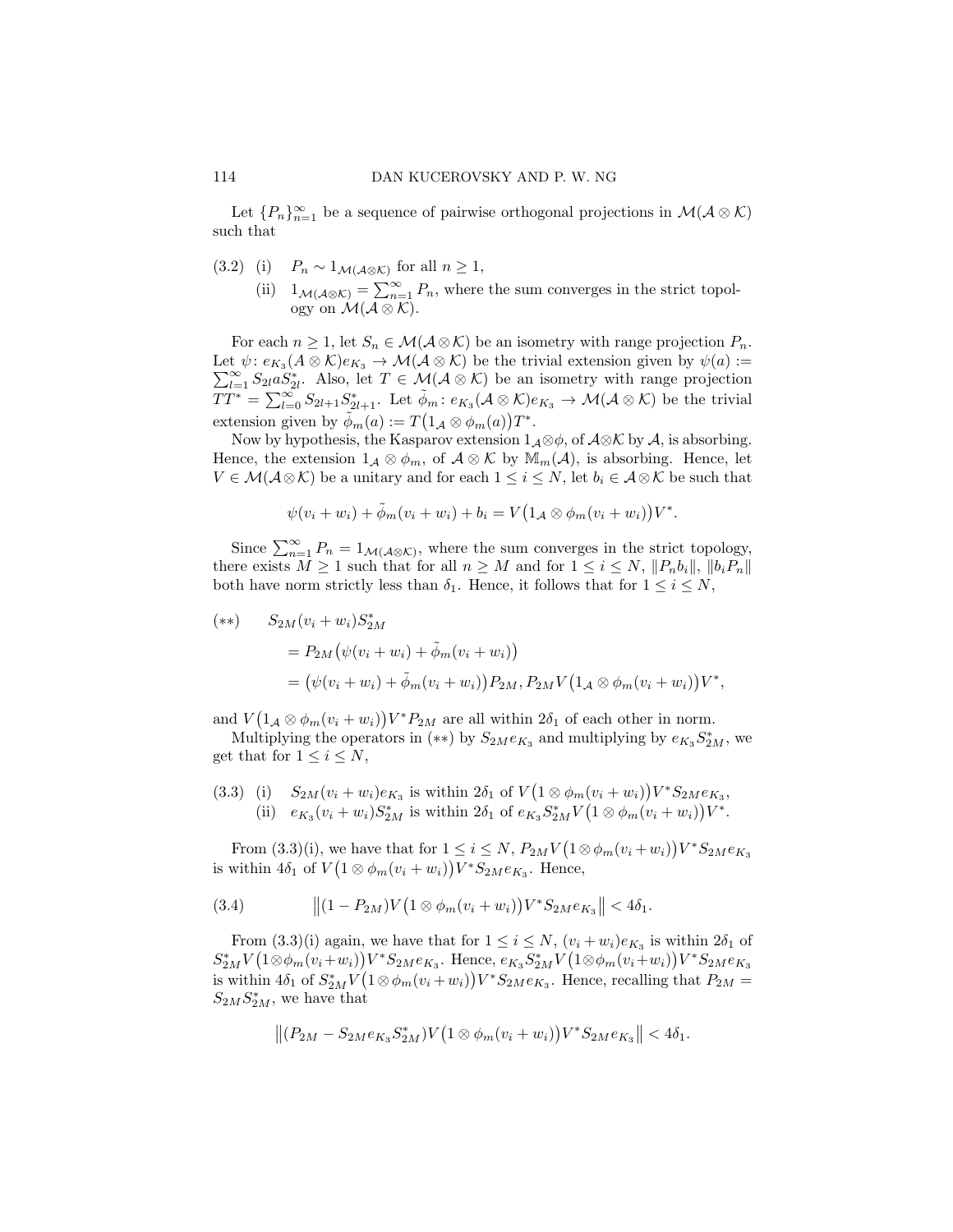Let  ${P_n}_{n=1}^{\infty}$  be a sequence of pairwise orthogonal projections in  $\mathcal{M}(\mathcal{A}\otimes\mathcal{K})$ such that

- (3.2) (i)  $P_n \sim 1_{\mathcal{M}(\mathcal{A}\otimes\mathcal{K})}$  for all  $n \geq 1$ ,
	- (ii)  $1_{\mathcal{M}(\mathcal{A}\otimes\mathcal{K})}=\sum_{n=1}^{\infty}P_n$ , where the sum converges in the strict topology on  $\mathcal{M}(\overline{A \otimes \mathcal{K}})$ .

For each  $n \geq 1$ , let  $S_n \in \mathcal{M}(\mathcal{A} \otimes \mathcal{K})$  be an isometry with range projection  $P_n$ . Let  $\psi: e_{K_3}(A \otimes \mathcal{K})e_{K_3} \to \mathcal{M}(\mathcal{A} \otimes \mathcal{K})$  be the trivial extension given by  $\psi(a) :=$  $\sum_{l=1}^{\infty} S_{2l}^{100} S_{2l}^{*}$ . Also, let  $T \in \mathcal{M}(\mathcal{A} \otimes \mathcal{K})$  be an isometry with range projection  $TT^* = \sum_{l=0}^{\infty} S_{2l+1} S_{2l+1}^*$ . Let  $\tilde{\phi}_m : e_{K_3}(\mathcal{A} \otimes \mathcal{K}) e_{K_3} \to \mathcal{M}(\mathcal{A} \otimes \mathcal{K})$  be the trivial extension given by  $\tilde{\phi}_m(a) := T(1_{\mathcal{A}} \otimes \phi_m(a))T^*$ .

Now by hypothesis, the Kasparov extension  $1_{\mathcal{A}} \otimes \phi$ , of  $\mathcal{A} \otimes \mathcal{K}$  by  $\mathcal{A}$ , is absorbing. Hence, the extension  $1_{\mathcal{A}} \otimes \phi_m$ , of  $\mathcal{A} \otimes \mathcal{K}$  by  $\mathbb{M}_m(\mathcal{A})$ , is absorbing. Hence, let  $V \in \mathcal{M}(\mathcal{A}\otimes\mathcal{K})$  be a unitary and for each  $1 \leq i \leq N$ , let  $b_i \in \mathcal{A}\otimes\mathcal{K}$  be such that

$$
\psi(v_i+w_i)+\tilde{\phi}_m(v_i+w_i)+b_i=V\big(1_{\mathcal{A}}\otimes\phi_m(v_i+w_i)\big)V^*.
$$

Since  $\sum_{n=1}^{\infty} P_n = 1_{\mathcal{M}(\mathcal{A}\otimes\mathcal{K})}$ , where the sum converges in the strict topology, there exists  $M \geq 1$  such that for all  $n \geq M$  and for  $1 \leq i \leq N$ ,  $||P_n b_i||$ ,  $||b_i P_n||$ both have norm strictly less than  $\delta_1$ . Hence, it follows that for  $1 \leq i \leq N$ ,

$$
\begin{aligned} (*) \qquad S_{2M}(v_i + w_i) S_{2M}^* \\ &= P_{2M} \big( \psi(v_i + w_i) + \tilde{\phi}_m(v_i + w_i) \big) \\ &= \big( \psi(v_i + w_i) + \tilde{\phi}_m(v_i + w_i) \big) P_{2M}, P_{2M} V \big( 1_{\mathcal{A}} \otimes \phi_m(v_i + w_i) \big) V^*, \end{aligned}
$$

and  $V(1_A \otimes \phi_m(v_i + w_i))V^*P_{2M}$  are all within  $2\delta_1$  of each other in norm.

Multiplying the operators in (\*\*) by  $S_{2M}e_{K_3}$  and multiplying by  $e_{K_3}S_{2M}^*$ , we get that for  $1 \leq i \leq N$ ,

(3.3) (i)  $S_{2M}(v_i + w_i)e_{K_3}$  is within  $2\delta_1$  of  $V(1 \otimes \phi_m(v_i + w_i))V^*S_{2M}e_{K_3}$ , (ii)  $e_{K_3}(v_i + w_i)S_{2M}^*$  is within  $2\delta_1$  of  $e_{K_3}S_{2M}^*V(1 \otimes \phi_m(v_i + w_i))V^*$ .

From (3.3)(i), we have that for  $1 \leq i \leq N$ ,  $P_{2M}V(1 \otimes \phi_m(v_i + w_i))V^*S_{2M}e_{K_3}$ is within  $4\delta_1$  of  $V(1 \otimes \phi_m(v_i + w_i))V^*S_{2M}e_{K_3}$ . Hence,

(3.4) 
$$
\|(1 - P_{2M})V(1 \otimes \phi_m(v_i + w_i))V^*S_{2M}e_{K_3}\| < 4\delta_1.
$$

From  $(3.3)(i)$  again, we have that for  $1 \leq i \leq N$ ,  $(v_i + w_i)e_{K_3}$  is within  $2\delta_1$  of  $S_{2M}^* V (1 \otimes \phi_m(v_i + w_i)) V^* S_{2M} e_{K_3}$ . Hence,  $e_{K_3} S_{2M}^* V (1 \otimes \phi_m(v_i + w_i)) V^* S_{2M} e_{K_3}$ is within  $4\delta_1$  of  $S^*_{2M}V(1\otimes \phi_m(v_i+w_i))V^*S_{2M}e_{K_3}$ . Hence, recalling that  $P_{2M}$  =  $S_{2M}S_{2M}^*$ , we have that

$$
||(P_{2M}-S_{2M}e_{K_3}S_{2M}^*)V(1\otimes \phi_m(v_i+w_i))V^*S_{2M}e_{K_3}||<4\delta_1.
$$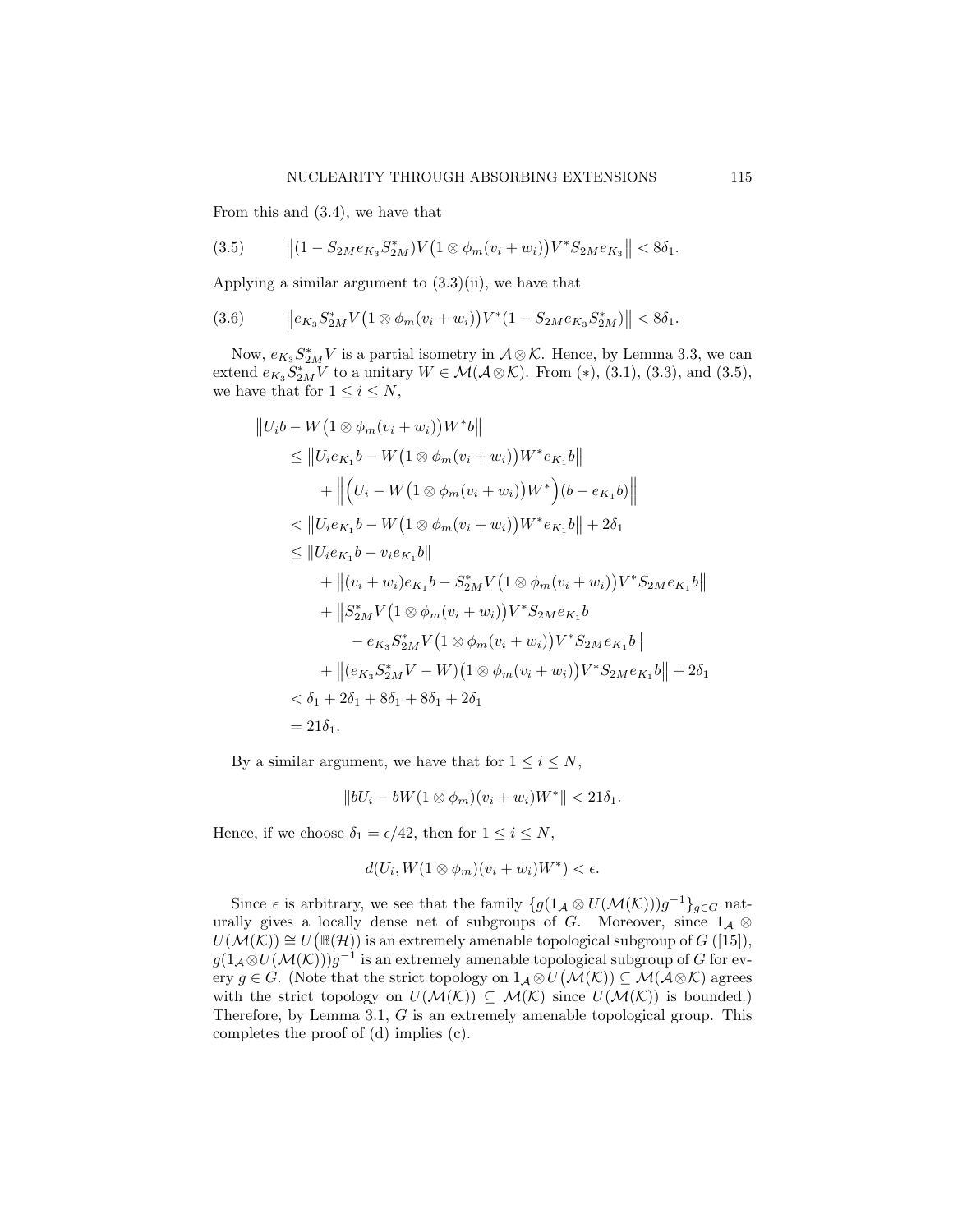From this and (3.4), we have that

$$
(3.5) \t\t ||(1 - S_{2M}e_{K_3}S_{2M}^*)V(1 \otimes \phi_m(v_i + w_i))V^*S_{2M}e_{K_3}|| < 8\delta_1.
$$

Applying a similar argument to  $(3.3)(ii)$ , we have that

$$
(3.6) \t\t ||e_{K_3}S_{2M}^*V(1\otimes \phi_m(v_i+w_i))V^*(1-S_{2M}e_{K_3}S_{2M}^*)|| < 8\delta_1.
$$

Now,  $e_{K_3} S_{2M}^* V$  is a partial isometry in  $A \otimes \mathcal{K}$ . Hence, by Lemma 3.3, we can extend  $e_{K_3} S_{2M}^* V$  to a unitary  $W \in \mathcal{M}(\mathcal{A} \otimes \mathcal{K})$ . From (\*), (3.1), (3.3), and (3.5), we have that for  $1 \leq i \leq N$ ,

$$
||U_i b - W(1 \otimes \phi_m(v_i + w_i))W^* b||
$$
  
\n
$$
\leq ||U_i e_{K_1} b - W(1 \otimes \phi_m(v_i + w_i))W^* e_{K_1} b||
$$
  
\n
$$
+ ||(U_i - W(1 \otimes \phi_m(v_i + w_i))W^*)(b - e_{K_1} b)||
$$
  
\n
$$
< ||U_i e_{K_1} b - W(1 \otimes \phi_m(v_i + w_i))W^* e_{K_1} b|| + 2\delta_1
$$
  
\n
$$
\leq ||U_i e_{K_1} b - v_i e_{K_1} b||
$$
  
\n
$$
+ ||(v_i + w_i) e_{K_1} b - S_{2M}^* V(1 \otimes \phi_m(v_i + w_i))V^* S_{2M} e_{K_1} b||
$$
  
\n
$$
+ ||S_{2M}^* V(1 \otimes \phi_m(v_i + w_i))V^* S_{2M} e_{K_1} b||
$$
  
\n
$$
- e_{K_3} S_{2M}^* V(1 \otimes \phi_m(v_i + w_i))V^* S_{2M} e_{K_1} b||
$$
  
\n
$$
+ ||(e_{K_3} S_{2M}^* V - W)(1 \otimes \phi_m(v_i + w_i))V^* S_{2M} e_{K_1} b|| + 2\delta_1
$$
  
\n
$$
< \delta_1 + 2\delta_1 + 8\delta_1 + 8\delta_1 + 2\delta_1
$$
  
\n
$$
= 21\delta_1.
$$

By a similar argument, we have that for  $1 \leq i \leq N$ ,

$$
||bU_i - bW(1 \otimes \phi_m)(v_i + w_i)W^*|| < 21\delta_1.
$$

Hence, if we choose  $\delta_1 = \epsilon/42$ , then for  $1 \leq i \leq N$ ,

$$
d(U_i, W(1 \otimes \phi_m)(v_i + w_i)W^*) < \epsilon.
$$

Since  $\epsilon$  is arbitrary, we see that the family  $\{g(1_{\mathcal{A}} \otimes U(\mathcal{M}(\mathcal{K})))g^{-1}\}_{g \in G}$  naturally gives a locally dense net of subgroups of G. Moreover, since  $1_{\mathcal{A}} \otimes$  $U(\mathcal{M}(\mathcal{K})) \cong U(\mathbb{B}(\mathcal{H}))$  is an extremely amenable topological subgroup of  $G$  ([15]),  $g(1_{\mathcal{A}} \otimes U(\mathcal{M}(\mathcal{K})))g^{-1}$  is an extremely amenable topological subgroup of G for every  $g \in G$ . (Note that the strict topology on  $1_{\mathcal{A}} \otimes U(\mathcal{M}(\mathcal{K})) \subseteq \mathcal{M}(\mathcal{A} \otimes \mathcal{K})$  agrees with the strict topology on  $U(\mathcal{M}(\mathcal{K})) \subseteq \mathcal{M}(\mathcal{K})$  since  $U(\mathcal{M}(\mathcal{K}))$  is bounded.) Therefore, by Lemma 3.1, G is an extremely amenable topological group. This completes the proof of (d) implies (c).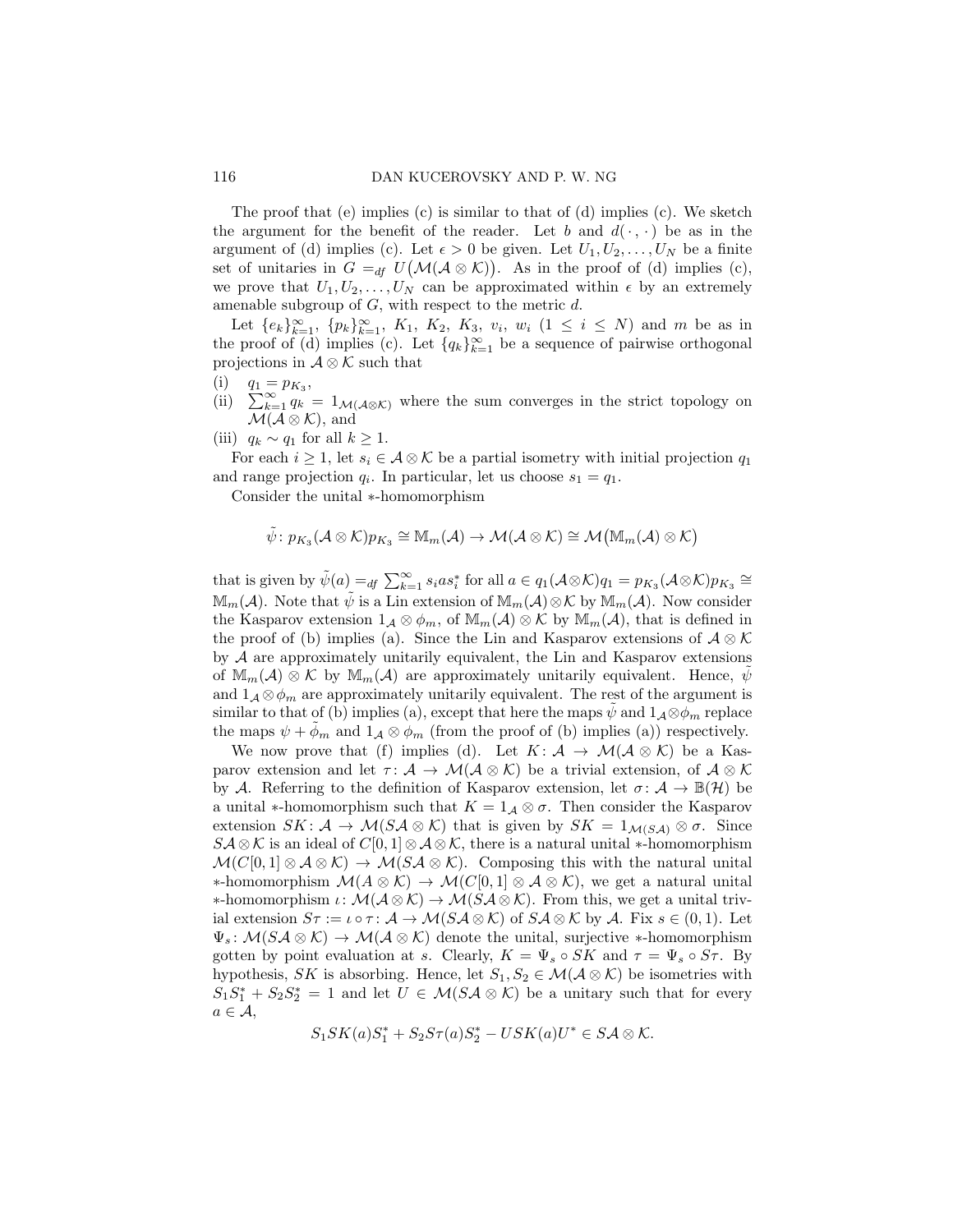The proof that (e) implies (c) is similar to that of (d) implies (c). We sketch the argument for the benefit of the reader. Let b and  $d(\cdot, \cdot)$  be as in the argument of (d) implies (c). Let  $\epsilon > 0$  be given. Let  $U_1, U_2, \ldots, U_N$  be a finite set of unitaries in  $G =_{df} U(\mathcal{M}(\mathcal{A} \otimes \mathcal{K}))$ . As in the proof of (d) implies (c), we prove that  $U_1, U_2, \ldots, U_N$  can be approximated within  $\epsilon$  by an extremely amenable subgroup of  $G$ , with respect to the metric  $d$ .

Let  ${e_k}_{k=1}^{\infty}, {p_k}_{k=1}^{\infty}, K_1, K_2, K_3, v_i, w_i (1 \le i \le N)$  and m be as in the proof of (d) implies (c). Let  $\{q_k\}_{k=1}^{\infty}$  be a sequence of pairwise orthogonal projections in  $\mathcal{A} \otimes \mathcal{K}$  such that

- (i)  $q_1 = p_{K_3}$ ,
- (ii)  $\sum_{k=1}^{\infty} q_k = 1_{\mathcal{M}(\mathcal{A}\otimes\mathcal{K})}$  where the sum converges in the strict topology on  $\mathcal{M}(\mathcal{A}\otimes\mathcal{K}),$  and
- (iii)  $q_k \sim q_1$  for all  $k \geq 1$ .

For each  $i \geq 1$ , let  $s_i \in A \otimes \mathcal{K}$  be a partial isometry with initial projection  $q_1$ and range projection  $q_i$ . In particular, let us choose  $s_1 = q_1$ .

Consider the unital ∗-homomorphism

$$
\tilde{\psi} \colon p_{K_3}(\mathcal{A}\otimes \mathcal{K})p_{K_3}\cong \mathbb{M}_m(\mathcal{A})\to \mathcal{M}(\mathcal{A}\otimes \mathcal{K})\cong \mathcal{M}\big(\mathbb{M}_m(\mathcal{A})\otimes \mathcal{K}\big)
$$

that is given by  $\tilde{\psi}(a) =_{df} \sum_{k=1}^{\infty} s_i a s_i^*$  for all  $a \in q_1(\mathcal{A} \otimes \mathcal{K})q_1 = p_{K_3}(\mathcal{A} \otimes \mathcal{K})p_{K_3} \cong$  $\mathbb{M}_m(\mathcal{A})$ . Note that  $\psi$  is a Lin extension of  $\mathbb{M}_m(\mathcal{A})\otimes\mathcal{K}$  by  $\mathbb{M}_m(\mathcal{A})$ . Now consider the Kasparov extension  $1_{\mathcal{A}} \otimes \phi_m$ , of  $\mathbb{M}_m(\mathcal{A}) \otimes \mathcal{K}$  by  $\mathbb{M}_m(\mathcal{A})$ , that is defined in the proof of (b) implies (a). Since the Lin and Kasparov extensions of  $\mathcal{A} \otimes \mathcal{K}$ by  $A$  are approximately unitarily equivalent, the Lin and Kasparov extensions of  $\mathbb{M}_m(\mathcal{A}) \otimes \mathcal{K}$  by  $\mathbb{M}_m(\mathcal{A})$  are approximately unitarily equivalent. Hence,  $\psi$ and  $1_A \otimes \phi_m$  are approximately unitarily equivalent. The rest of the argument is similar to that of (b) implies (a), except that here the maps  $\psi$  and  $1_A \otimes \phi_m$  replace the maps  $\psi + \phi_m$  and  $1_{\mathcal{A}} \otimes \phi_m$  (from the proof of (b) implies (a)) respectively.

We now prove that (f) implies (d). Let  $K: \mathcal{A} \to \mathcal{M}(\mathcal{A} \otimes \mathcal{K})$  be a Kasparov extension and let  $\tau: \mathcal{A} \to \mathcal{M}(\mathcal{A} \otimes \mathcal{K})$  be a trivial extension, of  $\mathcal{A} \otimes \mathcal{K}$ by A. Referring to the definition of Kasparov extension, let  $\sigma: \mathcal{A} \to \mathbb{B}(\mathcal{H})$  be a unital  $*$ -homomorphism such that  $K = 1_{\mathcal{A}} \otimes \sigma$ . Then consider the Kasparov extension  $SK: \mathcal{A} \to \mathcal{M}(S\mathcal{A} \otimes \mathcal{K})$  that is given by  $SK = 1_{\mathcal{M}(S\mathcal{A})} \otimes \sigma$ . Since  $S\mathcal{A}\otimes\mathcal{K}$  is an ideal of  $C[0,1]\otimes\mathcal{A}\otimes\mathcal{K}$ , there is a natural unital \*-homomorphism  $\mathcal{M}(C[0,1] \otimes A \otimes \mathcal{K}) \to \mathcal{M}(S\mathcal{A} \otimes \mathcal{K})$ . Composing this with the natural unital ∗-homomorphism  $\mathcal{M}(A \otimes \mathcal{K}) \to \mathcal{M}(C[0,1] \otimes \mathcal{A} \otimes \mathcal{K})$ , we get a natural unital **∗-homomorphism**  $\iota: \mathcal{M}(\mathcal{A} \otimes \mathcal{K}) \to \mathcal{M}(S\mathcal{A} \otimes \mathcal{K})$ . From this, we get a unital trivial extension  $S\tau := \iota \circ \tau : \mathcal{A} \to \mathcal{M}(S\mathcal{A} \otimes \mathcal{K})$  of  $S\mathcal{A} \otimes \mathcal{K}$  by  $\mathcal{A}$ . Fix  $s \in (0,1)$ . Let  $\Psi_s \colon \mathcal{M}(S \mathcal{A} \otimes \mathcal{K}) \to \mathcal{M}(\mathcal{A} \otimes \mathcal{K})$  denote the unital, surjective \*-homomorphism gotten by point evaluation at s. Clearly,  $K = \Psi_s \circ SK$  and  $\tau = \Psi_s \circ S\tau$ . By hypothesis, SK is absorbing. Hence, let  $S_1, S_2 \in \mathcal{M}(\mathcal{A} \otimes \mathcal{K})$  be isometries with  $S_1S_1^* + S_2S_2^* = 1$  and let  $U \in \mathcal{M}(S\mathcal{A} \otimes \mathcal{K})$  be a unitary such that for every  $a \in \mathcal{A}$ ,

$$
S_1 SK(a) S_1^* + S_2 S \tau(a) S_2^* - USK(a) U^* \in S \mathcal{A} \otimes \mathcal{K}.
$$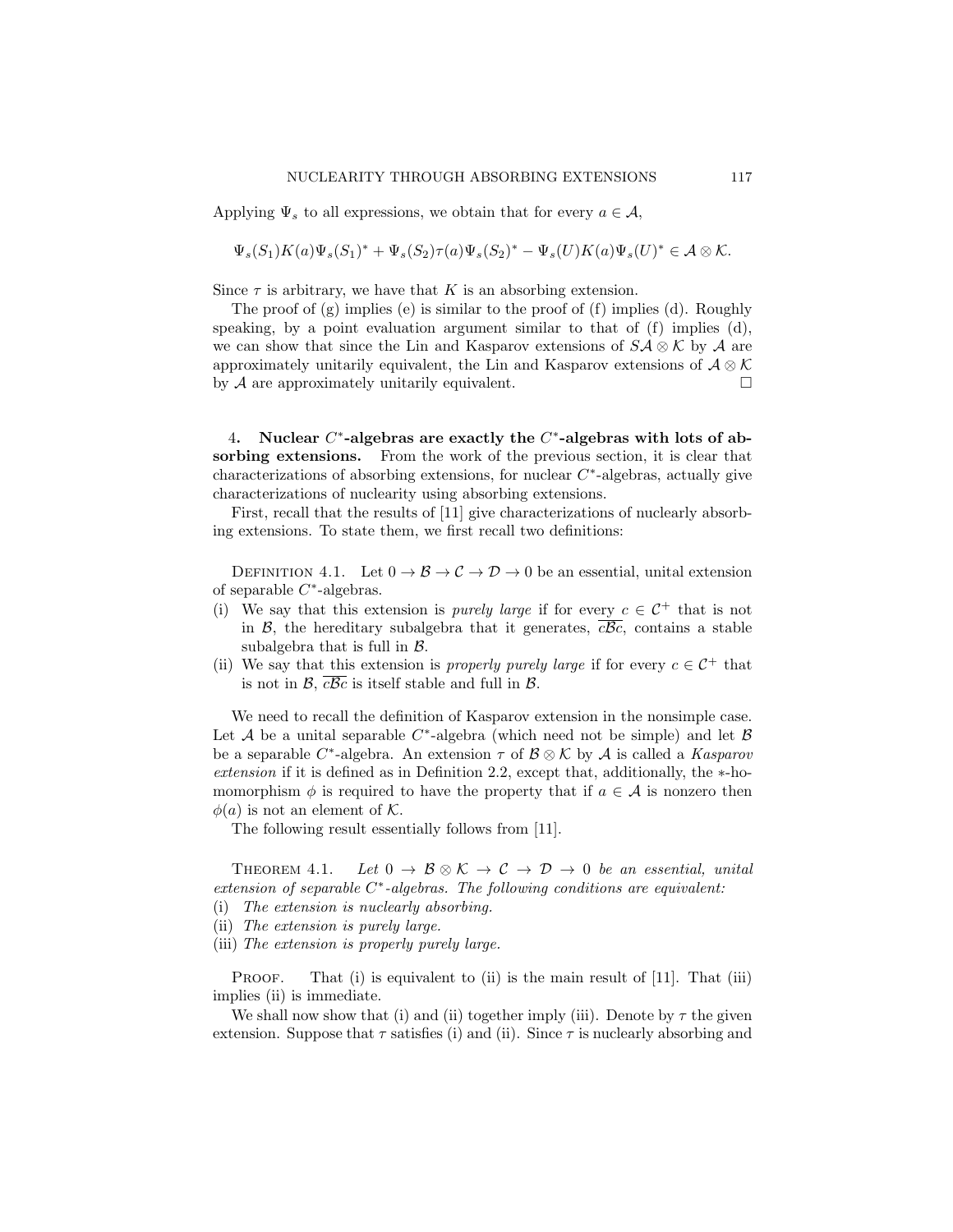Applying  $\Psi_s$  to all expressions, we obtain that for every  $a \in \mathcal{A}$ ,

$$
\Psi_s(S_1)K(a)\Psi_s(S_1)^* + \Psi_s(S_2)\tau(a)\Psi_s(S_2)^* - \Psi_s(U)K(a)\Psi_s(U)^* \in \mathcal{A} \otimes \mathcal{K}.
$$

Since  $\tau$  is arbitrary, we have that K is an absorbing extension.

The proof of (g) implies (e) is similar to the proof of (f) implies (d). Roughly speaking, by a point evaluation argument similar to that of  $(f)$  implies  $(d)$ , we can show that since the Lin and Kasparov extensions of  $S\mathcal{A}\otimes\mathcal{K}$  by  $\mathcal{A}$  are approximately unitarily equivalent, the Lin and Kasparov extensions of  $\mathcal{A} \otimes \mathcal{K}$ by  $A$  are approximately unitarily equivalent.

4. Nuclear  $C^*$ -algebras are exactly the  $C^*$ -algebras with lots of absorbing extensions. From the work of the previous section, it is clear that characterizations of absorbing extensions, for nuclear  $C^*$ -algebras, actually give characterizations of nuclearity using absorbing extensions.

First, recall that the results of [11] give characterizations of nuclearly absorbing extensions. To state them, we first recall two definitions:

DEFINITION 4.1. Let  $0 \to \mathcal{B} \to \mathcal{C} \to \mathcal{D} \to 0$  be an essential, unital extension of separable  $C^*$ -algebras.

- (i) We say that this extension is *purely large* if for every  $c \in C^+$  that is not in  $\mathcal{B}$ , the hereditary subalgebra that it generates,  $c\mathcal{B}c$ , contains a stable subalgebra that is full in  $\beta$ .
- (ii) We say that this extension is *properly purely large* if for every  $c \in C^+$  that is not in  $\mathcal{B}, \overline{c\mathcal{B}c}$  is itself stable and full in  $\mathcal{B}.$

We need to recall the definition of Kasparov extension in the nonsimple case. Let A be a unital separable  $C^*$ -algebra (which need not be simple) and let B be a separable  $C^*$ -algebra. An extension  $\tau$  of  $\mathcal{B} \otimes \mathcal{K}$  by  $\mathcal{A}$  is called a *Kasparov extension* if it is defined as in Definition 2.2, except that, additionally, the ∗-homomorphism  $\phi$  is required to have the property that if  $a \in \mathcal{A}$  is nonzero then  $\phi(a)$  is not an element of K.

The following result essentially follows from [11].

THEOREM 4.1. Let  $0 \to \mathcal{B} \otimes \mathcal{K} \to \mathcal{C} \to \mathcal{D} \to 0$  be an essential, unital *extension of separable* C ∗ *-algebras. The following conditions are equivalent:*

- (i) *The extension is nuclearly absorbing.*
- (ii) *The extension is purely large.*
- (iii) *The extension is properly purely large.*

PROOF. That (i) is equivalent to (ii) is the main result of [11]. That (iii) implies (ii) is immediate.

We shall now show that (i) and (ii) together imply (iii). Denote by  $\tau$  the given extension. Suppose that  $\tau$  satisfies (i) and (ii). Since  $\tau$  is nuclearly absorbing and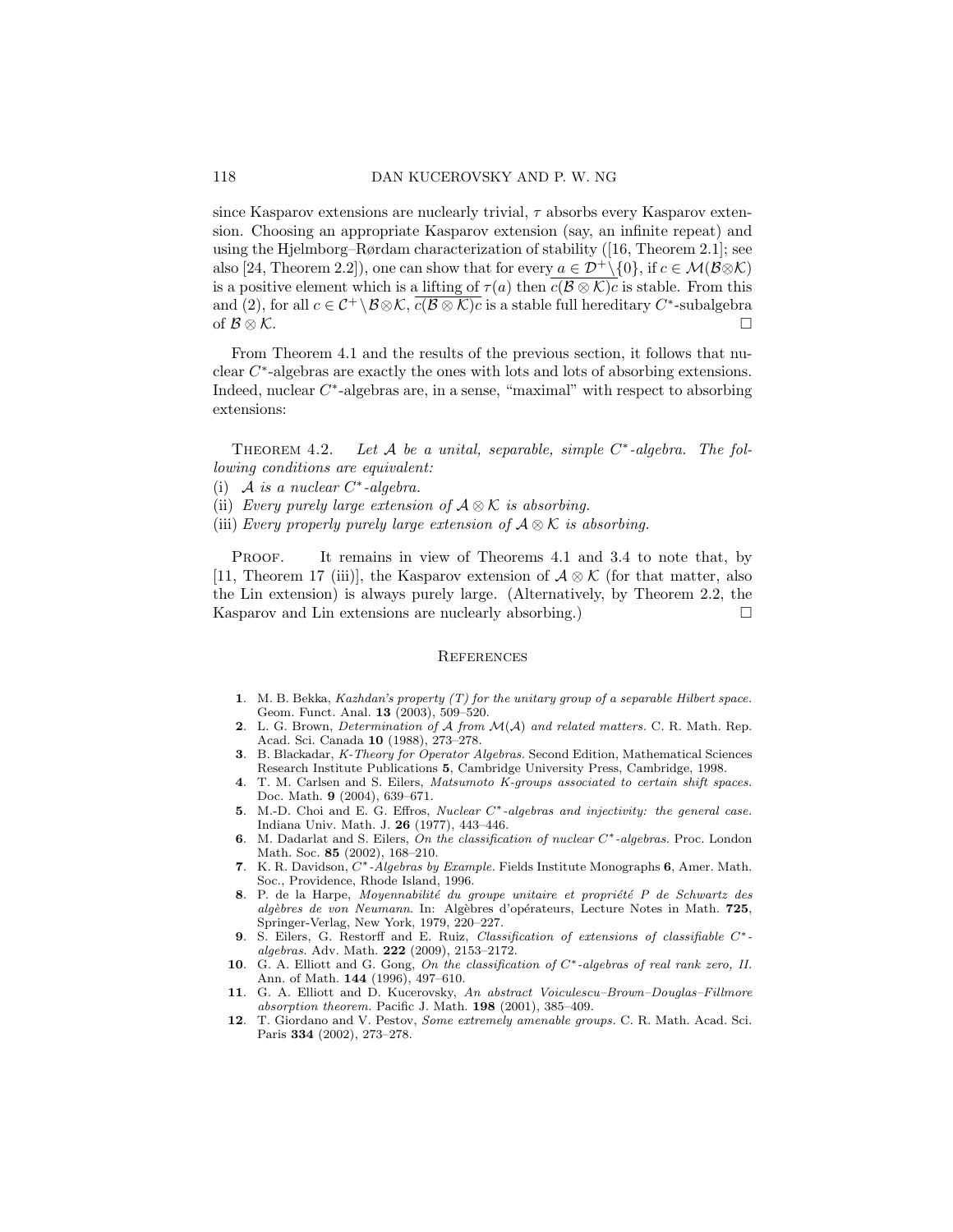since Kasparov extensions are nuclearly trivial,  $\tau$  absorbs every Kasparov extension. Choosing an appropriate Kasparov extension (say, an infinite repeat) and using the Hjelmborg–Rørdam characterization of stability ([16, Theorem 2.1]; see also [24, Theorem 2.2]), one can show that for every  $a \in \mathcal{D}^+\setminus\{0\}$ , if  $c \in \mathcal{M}(\mathcal{B}\otimes\mathcal{K})$ is a positive element which is a lifting of  $\tau(a)$  then  $c(\mathcal{B} \otimes \mathcal{K})c$  is stable. From this and (2), for all  $c \in C^+ \setminus \mathcal{B} \otimes \mathcal{K}$ ,  $\overline{c(\mathcal{B} \otimes \mathcal{K})c}$  is a stable full hereditary  $C^*$ -subalgebra of  $\mathcal{B}\otimes\mathcal{K}$ .  $□$ 

From Theorem 4.1 and the results of the previous section, it follows that nuclear C ∗ -algebras are exactly the ones with lots and lots of absorbing extensions. Indeed, nuclear  $C^*$ -algebras are, in a sense, "maximal" with respect to absorbing extensions:

THEOREM 4.2. Let A be a unital, separable, simple C<sup>\*</sup>-algebra. The fol*lowing conditions are equivalent:*

- (i) A *is a nuclear*  $C^*$ -algebra.
- (ii) *Every purely large extension of* A ⊗ K *is absorbing.*
- (iii) *Every properly purely large extension of*  $A \otimes K$  *is absorbing.*

PROOF. It remains in view of Theorems 4.1 and 3.4 to note that, by [11, Theorem 17 (iii)], the Kasparov extension of  $\mathcal{A} \otimes \mathcal{K}$  (for that matter, also the Lin extension) is always purely large. (Alternatively, by Theorem 2.2, the Kasparov and Lin extensions are nuclearly absorbing.)  $\Box$ 

## **REFERENCES**

- 1. M. B. Bekka, *Kazhdan's property (T) for the unitary group of a separable Hilbert space.* Geom. Funct. Anal. 13 (2003), 509–520.
- 2. L. G. Brown, *Determination of* A *from* M(A) *and related matters.* C. R. Math. Rep. Acad. Sci. Canada 10 (1988), 273–278.
- 3. B. Blackadar, *K-Theory for Operator Algebras.* Second Edition, Mathematical Sciences Research Institute Publications 5, Cambridge University Press, Cambridge, 1998.
- 4. T. M. Carlsen and S. Eilers, *Matsumoto K-groups associated to certain shift spaces.* Doc. Math. 9 (2004), 639–671.
- 5. M.-D. Choi and E. G. Effros, *Nuclear* C∗*-algebras and injectivity: the general case.* Indiana Univ. Math. J. 26 (1977), 443–446.
- 6. M. Dadarlat and S. Eilers, *On the classification of nuclear* C∗*-algebras.* Proc. London Math. Soc. 85 (2002), 168–210.
- 7. K. R. Davidson, C∗*-Algebras by Example.* Fields Institute Monographs 6, Amer. Math. Soc., Providence, Rhode Island, 1996.
- 8. P. de la Harpe, *Moyennabilité du groupe unitaire et propriété P de Schwartz des algèbres de von Neumann*. In: Algèbres d'opérateurs, Lecture Notes in Math. 725, Springer-Verlag, New York, 1979, 220–227.
- 9. S. Eilers, G. Restorff and E. Ruiz, *Classification of extensions of classifiable* C∗ *algebras.* Adv. Math. 222 (2009), 2153–2172.
- 10. G. A. Elliott and G. Gong, *On the classification of* C∗*-algebras of real rank zero, II.* Ann. of Math. 144 (1996), 497–610.
- 11. G. A. Elliott and D. Kucerovsky, *An abstract Voiculescu–Brown–Douglas–Fillmore absorption theorem.* Pacific J. Math. 198 (2001), 385–409.
- 12. T. Giordano and V. Pestov, *Some extremely amenable groups.* C. R. Math. Acad. Sci. Paris 334 (2002), 273–278.